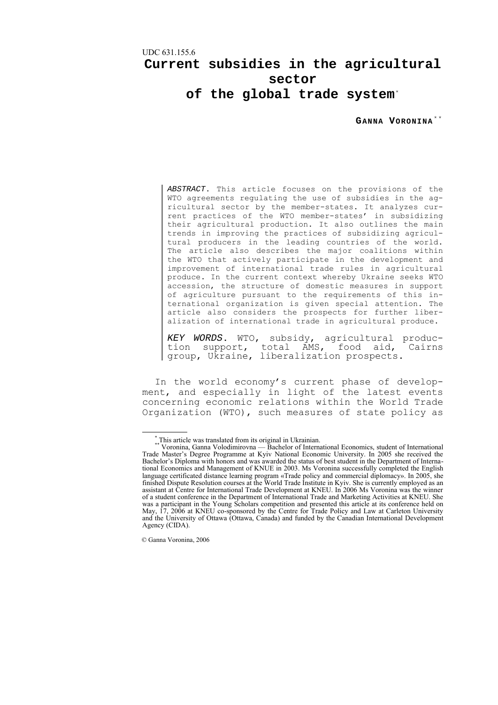## UDC 631.155.6

# **Current subsidies in the agricultural sector of the global trade system**[\\*](#page-0-0)

GANNA VORONINA<sup>\*\*</sup>

*ABSTRACT*. This article focuses on the provisions of the WTO agreements regulating the use of subsidies in the agricultural sector by the member-states. It analyzes current practices of the WTO member-states' in subsidizing their agricultural production. It also outlines the main trends in improving the practices of subsidizing agricultural producers in the leading countries of the world. The article also describes the major coalitions within the WTO that actively participate in the development and improvement of international trade rules in agricultural produce. In the current context whereby Ukraine seeks WTO accession, the structure of domestic measures in support of agriculture pursuant to the requirements of this international organization is given special attention. The article also considers the prospects for further liberalization of international trade in agricultural produce.

*KEY WORDS*. WTO, subsidy, agricultural produc- tion support, total AMS, food aid, Cairns group, Ukraine, liberalization prospects.

In the world economy's current phase of development, and especially in light of the latest events concerning economic relations within the World Trade Organization (WTO), such measures of state policy as

<span id="page-0-1"></span><span id="page-0-0"></span> <sup>\*</sup> This article was translated from its original in Ukrainian. \*\* Voronina, Ganna Volodimirovna — Bachelor of International Economics, student of International Trade Master's Degree Programme at Kyiv National Economic University. In 2005 she received the Bachelor's Diploma with honors and was awarded the status of best student in the Department of International Economics and Management of KNUE in 2003. Ms Voronina successfully completed the English language certificated distance learning program «Trade policy and commercial diplomacy». In 2005, she finished Dispute Resolution courses at the World Trade Institute in Kyiv. She is currently employed as an assistant at Centre for International Trade Development at KNEU. In 2006 Ms Voronina was the winner of a student conference in the Department of International Trade and Marketing Activities at KNEU. She was a participant in the Young Scholars competition and presented this article at its conference held on May, 17, 2006 at KNEU co-sponsored by the Centre for Trade Policy and Law at Carleton University and the University of Ottawa (Ottawa, Canada) and funded by the Canadian International Development Agency (CIDA).

<sup>©</sup> Ganna Voronina, 2006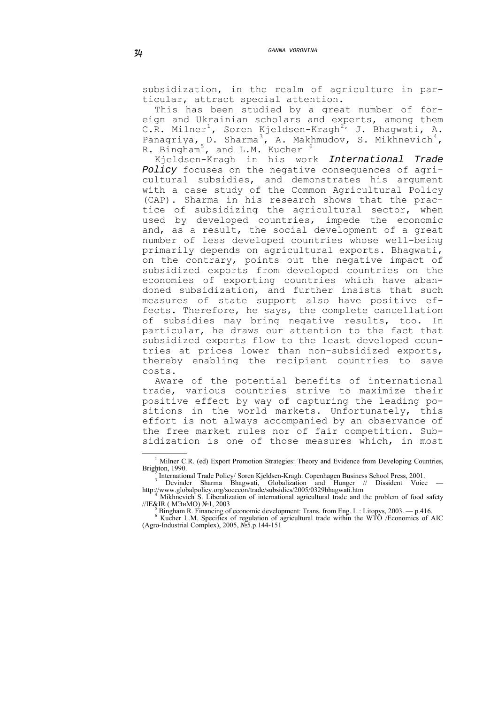subsidization, in the realm of agriculture in particular, attract special attention.

This has been studied by a great number of foreign and Ukrainian scholars and experts, among them C.R. Milner<sup>[1](#page-1-0)</sup>, Soren Kjeldsen-Kragh<sup>[2](#page-1-1),</sup> J. Bhagwati, A. Panagriya, D. Sharma<sup>[3](#page-1-2)</sup>, A. Makhmudov, S. Mikhnevich<sup>[4](#page-1-3)</sup>, R. Bingham<sup>[5](#page-1-4)</sup>, and L.M. Kucher <sup>[6](#page-1-5)</sup>

Kjeldsen-Kragh in his work *International Trade Policy* focuses on the negative consequences of agricultural subsidies, and demonstrates his argument with a case study of the Common Agricultural Policy (CAP). Sharma in his research shows that the practice of subsidizing the agricultural sector, when used by developed countries, impede the economic and, as a result, the social development of a great number of less developed countries whose well-being primarily depends on agricultural exports. Bhagwati, on the contrary, points out the negative impact of subsidized exports from developed countries on the economies of exporting countries which have abandoned subsidization, and further insists that such measures of state support also have positive effects. Therefore, he says, the complete cancellation of subsidies may bring negative results, too. In particular, he draws our attention to the fact that subsidized exports flow to the least developed countries at prices lower than non-subsidized exports, thereby enabling the recipient countries to save costs.

Aware of the potential benefits of international trade, various countries strive to maximize their positive effect by way of capturing the leading positions in the world markets. Unfortunately, this effort is not always accompanied by an observance of the free market rules nor of fair competition. Subsidization is one of those measures which, in most

<sup>2</sup> International Trade Policy/ Soren Kjeldsen-Kragh. Copenhagen Business School Press, 2001.<br><sup>3</sup> Devinder Sharma Bhagwati, Globalization and Hunger // Dissident Voice —

 $\overline{a}$ 

<span id="page-1-0"></span><sup>&</sup>lt;sup>1</sup> Milner C.R. (ed) Export Promotion Strategies: Theory and Evidence from Developing Countries, Brighton, 1990.

<span id="page-1-3"></span><span id="page-1-2"></span><span id="page-1-1"></span>http://www.globalpolicy.org/socecon/trade/subsidies/2005/0329bhagwati.htm <sup>4</sup> Mikhaayiek S. Liberalization of interactional estimativel trade and t Mikhnevich S. Liberalization of international agricultural trade and the problem of food safety //IE&IR ( МЭиМО) №1, 2003 5

Bingham R. Financing of economic development: Trans. from Eng. L.: Litopys, 2003. — p.416.

<span id="page-1-5"></span><span id="page-1-4"></span><sup>&</sup>lt;sup>6</sup> Kucher L.M. Specifics of regulation of agricultural trade within the WTO /Economics of AIC (Agro-Industrial Complex), 2005, №5.p.144-151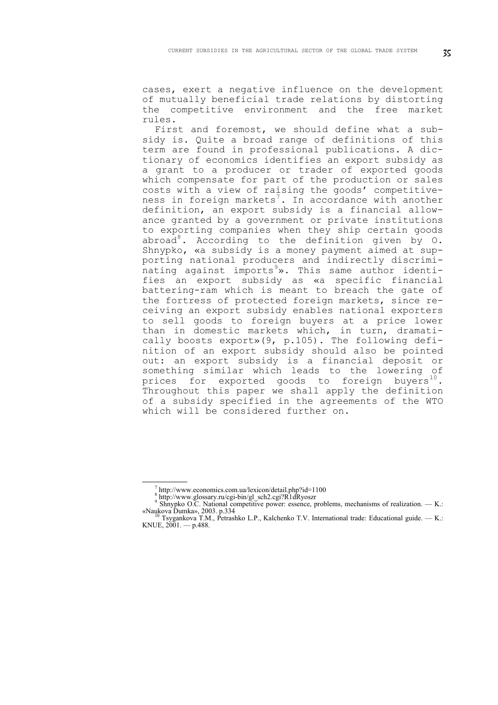cases, exert a negative influence on the development of mutually beneficial trade relations by distorting the competitive environment and the free market rules.

First and foremost, we should define what a subsidy is. Quite a broad range of definitions of this term are found in professional publications. A dictionary of economics identifies an export subsidy as a grant to a producer or trader of exported goods which compensate for part of the production or sales costs with a view of raising the goods' competitive-ness in foreign markets<sup>[7](#page-2-0)</sup>. In accordance with another definition, an export subsidy is a financial allowance granted by a government or private institutions to exporting companies when they ship certain goods abroad<sup>[8](#page-2-1)</sup>. According to the definition given by  $0$ . Shnypko, «a subsidy is a money payment aimed at supporting national producers and indirectly discrimi-nating against imports<sup>[9](#page-2-2)</sup>». This same author identifies an export subsidy as «a specific financial battering-ram which is meant to breach the gate of the fortress of protected foreign markets, since receiving an export subsidy enables national exporters to sell goods to foreign buyers at a price lower than in domestic markets which, in turn, dramatically boosts export»(9, p.105). The following definition of an export subsidy should also be pointed out: an export subsidy is a financial deposit or something similar which leads to the lowering of prices for exported goods to foreign buyers<sup>[10](#page-2-3)</sup>. Throughout this paper we shall apply the definition of a subsidy specified in the agreements of the WTO which will be considered further on.

<span id="page-2-0"></span>1

 $T_{\text{B}}$  http://www.economics.com.ua/lexicon/detail.php?id=1100  $R_{\text{B}}$ 

http://www.glossary.ru/cgi-bin/gl\_sch2.cgi?R1dRyoszr

<sup>&</sup>lt;sup>9</sup> Shnypko O.C. National competitive power: essence, problems, mechanisms of realization. — K.: «Naukova Dumka», 2003. p.334<br><sup>10</sup> Tsygankova T.M., Petrashko L.P., Kalchenko T.V. International trade: Educational guide. — K.:

<span id="page-2-3"></span><span id="page-2-2"></span><span id="page-2-1"></span>KNUE,  $2001 - p.488$ .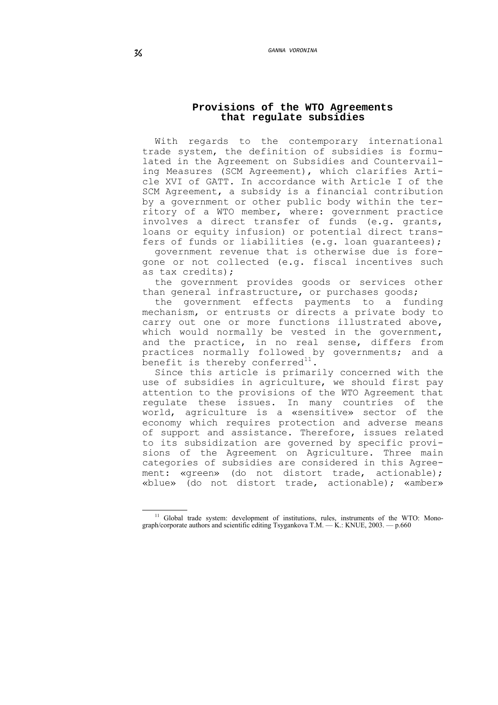# **Provisions of the WTO Agreements that regulate subsidies**

With regards to the contemporary international trade system, the definition of subsidies is formulated in the Agreement on Subsidies and Countervailing Measures (SCM Agreement), which clarifies Article XVI of GATT. In accordance with Article I of the SCM Agreement, a subsidy is a financial contribution by a government or other public body within the territory of a WTO member, where: government practice involves a direct transfer of funds (e.g. grants, loans or equity infusion) or potential direct transfers of funds or liabilities (e.g. loan guarantees);

government revenue that is otherwise due is foregone or not collected (e.g. fiscal incentives such as tax credits);

the government provides goods or services other than general infrastructure, or purchases goods;

the government effects payments to a funding mechanism, or entrusts or directs a private body to carry out one or more functions illustrated above, which would normally be vested in the government, and the practice, in no real sense, differs from practices normally followed by governments; and a  $\overline{\phantom{a}}$  benefit is thereby conferred $^{11}$  $^{11}$  $^{11}$ .

Since this article is primarily concerned with the use of subsidies in agriculture, we should first pay attention to the provisions of the WTO Agreement that regulate these issues. In many countries of the world, agriculture is a «sensitive» sector of the economy which requires protection and adverse means of support and assistance. Therefore, issues related to its subsidization are governed by specific provisions of the Agreement on Agriculture. Three main categories of subsidies are considered in this Agreement: «green» (do not distort trade, actionable); «blue» (do not distort trade, actionable); «amber»

<span id="page-3-0"></span><sup>1</sup> <sup>11</sup> Global trade system: development of institutions, rules, instruments of the WTO: Monograph/corporate authors and scientific editing Tsygankova T.M. — K.: KNUE, 2003. — p.660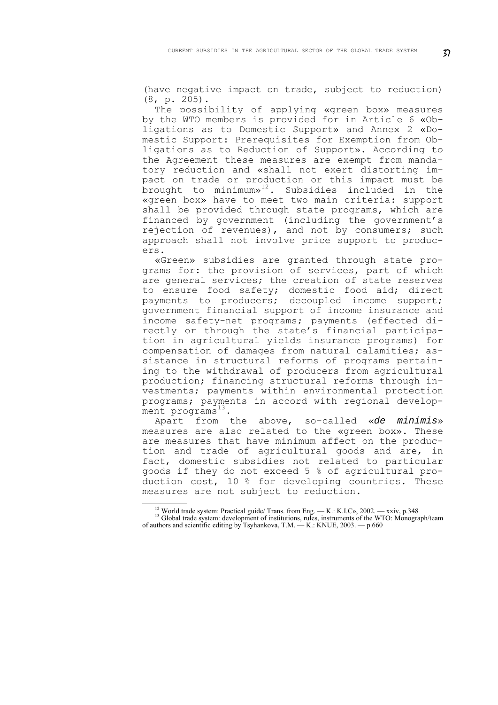(have negative impact on trade, subject to reduction) (8, p. 205).

The possibility of applying «green box» measures by the WTO members is provided for in Article 6 «Obligations as to Domestic Support» and Annex 2 «Domestic Support: Prerequisites for Exemption from Obligations as to Reduction of Support». According to the Agreement these measures are exempt from mandatory reduction and «shall not exert distorting impact on trade or production or this impact must be brought to minimum»[12](#page-4-0). Subsidies included in the «green box» have to meet two main criteria: support shall be provided through state programs, which are financed by government (including the government's rejection of revenues), and not by consumers; such approach shall not involve price support to producers.

«Green» subsidies are granted through state programs for: the provision of services, part of which are general services; the creation of state reserves to ensure food safety; domestic food aid; direct payments to producers; decoupled income support; government financial support of income insurance and income safety-net programs; payments (effected directly or through the state's financial participation in agricultural yields insurance programs) for compensation of damages from natural calamities; assistance in structural reforms of programs pertaining to the withdrawal of producers from agricultural production; financing structural reforms through investments; payments within environmental protection programs; payments in accord with regional development programs $^{13}$  $^{13}$  $^{13}$ .

Apart from the above, so-called «*de minimis*» measures are also related to the «green box». These are measures that have minimum affect on the production and trade of agricultural goods and are, in fact, domestic subsidies not related to particular goods if they do not exceed 5 % of agricultural production cost, 10 % for developing countries. These measures are not subject to reduction.

1

<span id="page-4-1"></span><span id="page-4-0"></span><sup>&</sup>lt;sup>12</sup> World trade system: Practical guide/ Trans. from Eng. — K.: K.I.C», 2002. — xxiv, p.348  $13$  Global trade system: development of institutions, rules, instruments of the WTO: Monograph/team of authors and scientific editing by Tsyhankova, T.M. — K.: KNUE, 2003. — p.660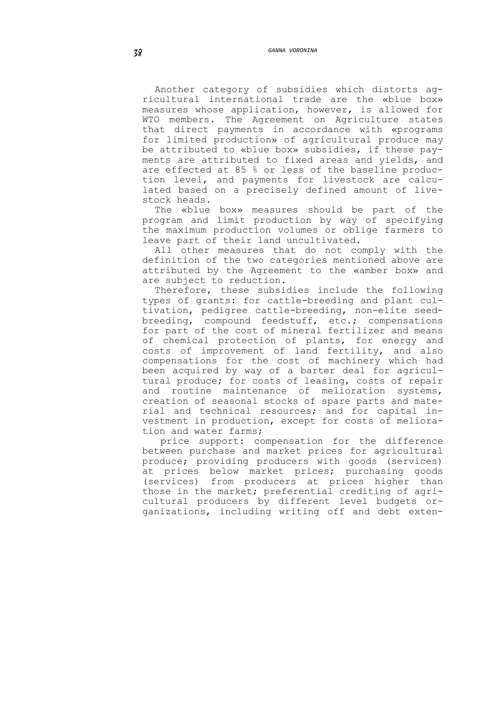Another category of subsidies which distorts agricultural international trade are the «blue box» measures whose application, however, is allowed for WTO members. The Agreement on Agriculture states that direct payments in accordance with «programs for limited production» of agricultural produce may be attributed to «blue box» subsidies, if these payments are attributed to fixed areas and yields, and are effected at 85 % or less of the baseline production level, and payments for livestock are calculated based on a precisely defined amount of livestock heads.

The «blue box» measures should be part of the program and limit production by way of specifying the maximum production volumes or oblige farmers to leave part of their land uncultivated.

All other measures that do not comply with the definition of the two categories mentioned above are attributed by the Agreement to the «amber box» and are subject to reduction.

Therefore, these subsidies include the following types of grants: for cattle-breeding and plant cultivation, pedigree cattle-breeding, non-elite seedbreeding, compound feedstuff, etc.; compensations for part of the cost of mineral fertilizer and means of chemical protection of plants, for energy and costs of improvement of land fertility, and also compensations for the cost of machinery which had been acquired by way of a barter deal for agricultural produce; for costs of leasing, costs of repair and routine maintenance of melioration systems, creation of seasonal stocks of spare parts and material and technical resources; and for capital investment in production, except for costs of melioration and water farms;

 price support: compensation for the difference between purchase and market prices for agricultural produce; providing producers with goods (services) at prices below market prices; purchasing goods (services) from producers at prices higher than those in the market; preferential crediting of agricultural producers by different level budgets organizations, including writing off and debt exten-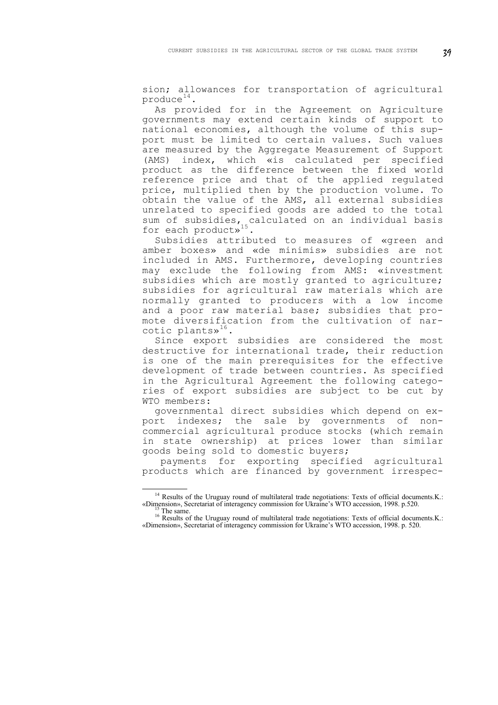sion; allowances for transportation of agricultural  $produce<sup>14</sup>$  $produce<sup>14</sup>$  $produce<sup>14</sup>$ .

As provided for in the Agreement on Agriculture governments may extend certain kinds of support to national economies, although the volume of this support must be limited to certain values. Such values are measured by the Aggregate Measurement of Support (AMS) index, which «is calculated per specified product as the difference between the fixed world reference price and that of the applied regulated price, multiplied then by the production volume. To obtain the value of the AMS, all external subsidies unrelated to specified goods are added to the total sum of subsidies, calculated on an individual basis for each product»<sup>[15](#page-6-1)</sup>.

Subsidies attributed to measures of «green and amber boxes» and «de minimis» subsidies are not included in AMS. Furthermore, developing countries may exclude the following from AMS: «investment subsidies which are mostly granted to agriculture; subsidies for agricultural raw materials which are normally granted to producers with a low income and a poor raw material base; subsidies that promote diversification from the cultivation of narcotic plants $v^{16}$  $v^{16}$  $v^{16}$ .

Since export subsidies are considered the most destructive for international trade, their reduction is one of the main prerequisites for the effective development of trade between countries. As specified in the Agricultural Agreement the following categories of export subsidies are subject to be cut by WTO members:

governmental direct subsidies which depend on export indexes; the sale by governments of noncommercial agricultural produce stocks (which remain in state ownership) at prices lower than similar goods being sold to domestic buyers;

 payments for exporting specified agricultural products which are financed by government irrespec-

<span id="page-6-0"></span><sup>1</sup> <sup>14</sup> Results of the Uruguay round of multilateral trade negotiations: Texts of official documents.K.: «Dimension», Secretariat of interagency commission for Ukraine's WTO accession, 1998. p.520.

<span id="page-6-2"></span><span id="page-6-1"></span><sup>&</sup>lt;sup>15</sup> The same.<br><sup>16</sup> Results of the Uruguay round of multilateral trade negotiations: Texts of official documents.K.: «Dimension», Secretariat of interagency commission for Ukraine's WTO accession, 1998. p. 520.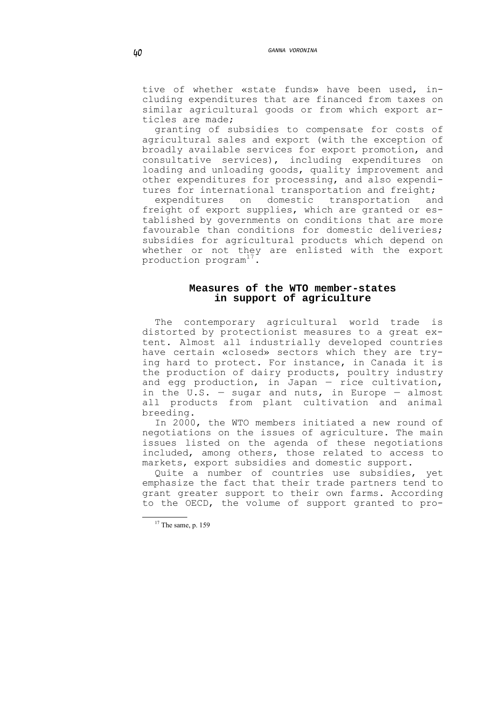tive of whether «state funds» have been used, including expenditures that are financed from taxes on similar agricultural goods or from which export articles are made;

granting of subsidies to compensate for costs of agricultural sales and export (with the exception of broadly available services for export promotion, and consultative services), including expenditures on loading and unloading goods, quality improvement and other expenditures for processing, and also expenditures for international transportation and freight;<br>expenditures on domestic transportation an

expenditures on domestic transportation and freight of export supplies, which are granted or established by governments on conditions that are more favourable than conditions for domestic deliveries; subsidies for agricultural products which depend on whether or not they are enlisted with the export production  $program^{17}$  $program^{17}$  $program^{17}$ .

# **Measures of the WTO member-states in support of agriculture**

The contemporary agricultural world trade is distorted by protectionist measures to a great extent. Almost all industrially developed countries have certain «closed» sectors which they are trying hard to protect. For instance, in Canada it is the production of dairy products, poultry industry and egg production, in Japan — rice cultivation, in the U.S.  $-$  sugar and nuts, in Europe  $-$  almost all products from plant cultivation and animal breeding.

In 2000, the WTO members initiated a new round of negotiations on the issues of agriculture. The main issues listed on the agenda of these negotiations included, among others, those related to access to markets, export subsidies and domestic support.

Quite a number of countries use subsidies, yet emphasize the fact that their trade partners tend to grant greater support to their own farms. According to the OECD, the volume of support granted to pro-

<span id="page-7-0"></span><sup>&</sup>lt;sup>17</sup> The same, p. 159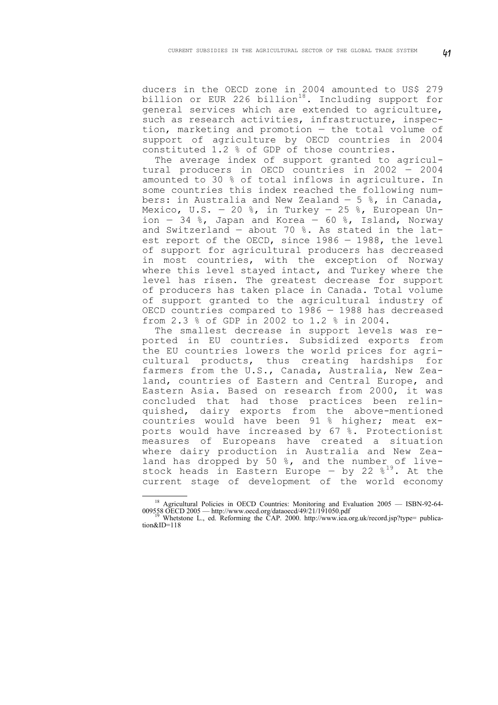ducers in the OECD zone in 2004 amounted to US\$ 279 billion or EUR 226 billion $^{18}$  $^{18}$  $^{18}$ . Including support for general services which are extended to agriculture, such as research activities, infrastructure, inspection, marketing and promotion — the total volume of support of agriculture by OECD countries in 2004 constituted 1.2 % of GDP of those countries.

The average index of support granted to agricultural producers in OECD countries in 2002 — 2004 amounted to 30 % of total inflows in agriculture. In some countries this index reached the following numbers: in Australia and New Zealand  $-5$  %, in Canada, Mexico, U.S. - 20 %, in Turkey - 25 %, European Union  $-34$  %, Japan and Korea  $-60$  %, Island, Norway and Switzerland — about 70 %. As stated in the latest report of the OECD, since 1986 — 1988, the level of support for agricultural producers has decreased in most countries, with the exception of Norway where this level stayed intact, and Turkey where the level has risen. The greatest decrease for support of producers has taken place in Canada. Total volume of support granted to the agricultural industry of OECD countries compared to 1986 — 1988 has decreased from 2.3 % of GDP in 2002 to 1.2 % in 2004.

The smallest decrease in support levels was reported in EU countries. Subsidized exports from the EU countries lowers the world prices for agricultural products, thus creating hardships for farmers from the U.S., Canada, Australia, New Zealand, countries of Eastern and Central Europe, and Eastern Asia. Based on research from 2000, it was concluded that had those practices been relinquished, dairy exports from the above-mentioned countries would have been 91 % higher; meat exports would have increased by 67 %. Protectionist measures of Europeans have created a situation where dairy production in Australia and New Zealand has dropped by 50 %, and the number of livestock heads in Eastern Europe - by 22  $8^{19}$  $8^{19}$  $8^{19}$ . At the current stage of development of the world economy

<sup>&</sup>lt;sup>18</sup> Agricultural Policies in OECD Countries: Monitoring and Evaluation 2005 — ISBN-92-64-009558 OECD 2005 — http://www.oecd.org/dataoecd/49/21/191050.pdf 19 Whetstone L., ed. Reforming the CAP. 2000. http://www.iea.org.uk/record.jsp?type= publica-

<span id="page-8-1"></span><span id="page-8-0"></span>tion&ID=118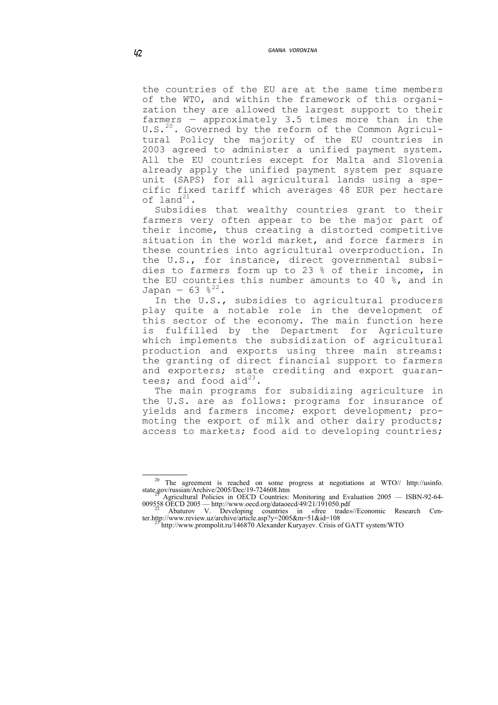the countries of the EU are at the same time members of the WTO, and within the framework of this organization they are allowed the largest support to their farmers — approximately 3.5 times more than in the U.S.<sup>[20](#page-9-0)</sup>. Governed by the reform of the Common Agricultural Policy the majority of the EU countries in 2003 agreed to administer a unified payment system. All the EU countries except for Malta and Slovenia already apply the unified payment system per square unit (SAPS) for all agricultural lands using a specific fixed tariff which averages 48 EUR per hectare of land $^{21}$  $^{21}$  $^{21}$ .

Subsidies that wealthy countries grant to their farmers very often appear to be the major part of their income, thus creating a distorted competitive situation in the world market, and force farmers in these countries into agricultural overproduction. In the U.S., for instance, direct governmental subsidies to farmers form up to 23 % of their income, in the EU countries this number amounts to 40 %, and in Japan – 63  $8^{22}$  $8^{22}$  $8^{22}$ 

In the U.S., subsidies to agricultural producers play quite a notable role in the development of this sector of the economy. The main function here is fulfilled by the Department for Agriculture which implements the subsidization of agricultural production and exports using three main streams: the granting of direct financial support to farmers and exporters; state crediting and export guarantees; and food aid $^{23}$  $^{23}$  $^{23}$ 

The main programs for subsidizing agriculture in the U.S. are as follows: programs for insurance of yields and farmers income; export development; promoting the export of milk and other dairy products; access to markets; food aid to developing countries;

<span id="page-9-0"></span><sup>&</sup>lt;sup>20</sup> The agreement is reached on some progress at negotiations at WTO// http://usinfo. state.gov/russian/Archive/2005/Dec/19-724608.htm<br><sup>21</sup> Agricultural Policies in OECD Countries: Monitoring and Evaluation 2005 — ISBN-92-64-

<span id="page-9-1"></span><sup>009558</sup> OECD 2005 — http://www.oecd.org/dataoecd/49/21/191050.pdf 22 Abaturov V. Developing countries in «free trade»//Economic Research Cen-

<span id="page-9-3"></span><span id="page-9-2"></span>ter.http://www.review.uz/archive/article.asp?y=2005&m=51&id=108<br><sup>23</sup> http://www.prompolit.ru/146870 Alexander Kuryayev. Crisis of GATT system/WTO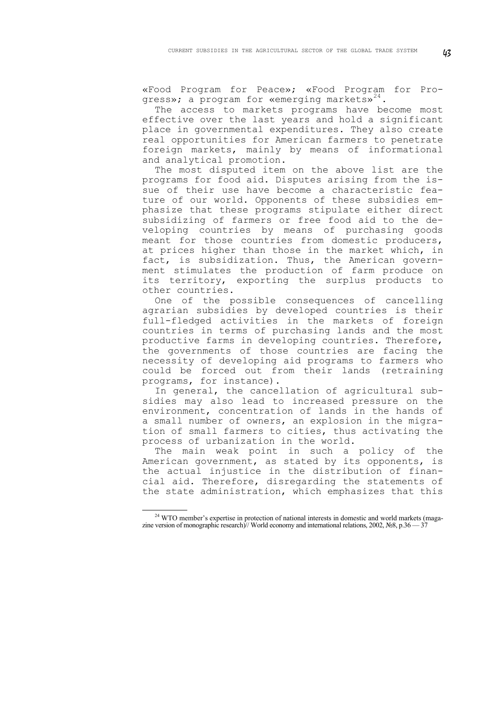«Food Program for Peace»; «Food Program for Pro-gress»; a program for «emerging markets»<sup>[24](#page-10-0)</sup>.

The access to markets programs have become most effective over the last years and hold a significant place in governmental expenditures. They also create real opportunities for American farmers to penetrate foreign markets, mainly by means of informational and analytical promotion.

The most disputed item on the above list are the programs for food aid. Disputes arising from the issue of their use have become a characteristic feature of our world. Opponents of these subsidies emphasize that these programs stipulate either direct subsidizing of farmers or free food aid to the developing countries by means of purchasing goods meant for those countries from domestic producers, at prices higher than those in the market which, in fact, is subsidization. Thus, the American government stimulates the production of farm produce on its territory, exporting the surplus products to other countries.

One of the possible consequences of cancelling agrarian subsidies by developed countries is their full-fledged activities in the markets of foreign countries in terms of purchasing lands and the most productive farms in developing countries. Therefore, the governments of those countries are facing the necessity of developing aid programs to farmers who could be forced out from their lands (retraining programs, for instance).

In general, the cancellation of agricultural subsidies may also lead to increased pressure on the environment, concentration of lands in the hands of a small number of owners, an explosion in the migration of small farmers to cities, thus activating the process of urbanization in the world.

The main weak point in such a policy of the American government, as stated by its opponents, is the actual injustice in the distribution of financial aid. Therefore, disregarding the statements of the state administration, which emphasizes that this

<span id="page-10-0"></span><sup>1</sup> <sup>24</sup> WTO member's expertise in protection of national interests in domestic and world markets (magazine version of monographic research)// World economy and international relations, 2002, №8, p.36 — 37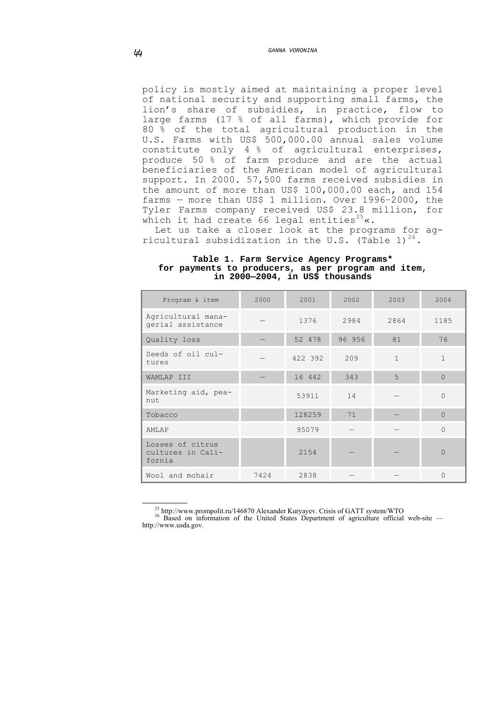policy is mostly aimed at maintaining a proper level of national security and supporting small farms, the lion's share of subsidies, in practice, flow to large farms (17 % of all farms), which provide for 80 % of the total agricultural production in the U.S. Farms with US\$ 500,000.00 annual sales volume constitute only 4 % of agricultural enterprises, produce 50 % of farm produce and are the actual beneficiaries of the American model of agricultural support. In 2000. 57,500 farms received subsidies in the amount of more than US\$ 100,000.00 each, and 154 farms — more than US\$ 1 million. Over 1996–2000, the Tyler Farms company received US\$ 23.8 million, for which it had create 66 legal entities<sup>[25](#page-11-0)</sup> $\kappa$ .

Let us take a closer look at the programs for ag-ricultural subsidization in the U.S. (Table 1)<sup>[26](#page-11-1)</sup>.

| Program & item                                  | 2000 | 2001    | 2002   | 2003         | 2004           |
|-------------------------------------------------|------|---------|--------|--------------|----------------|
| Agricultural mana-<br>gerial assistance         |      | 1376    | 2984   | 2864         | 1185           |
| Quality loss                                    |      | 52 478  | 96 956 | 81           | 76             |
| Seeds of oil cul-<br>tures                      |      | 422 392 | 209    | $\mathbf{1}$ | $\mathbf{1}$   |
| WAMLAP III                                      |      | 16 442  | 343    | 5            | $\overline{0}$ |
| Marketing aid, pea-<br>nut                      |      | 53911   | 14     |              | $\mathbf{0}$   |
| Tobacco                                         |      | 128259  | 71     |              | $\Omega$       |
| AMLAP                                           |      | 95079   |        |              | $\Omega$       |
| Losses of citrus<br>cultures in Cali-<br>fornia |      | 2154    |        |              | $\Omega$       |
| Wool and mohair                                 | 7424 | 2838    |        |              | $\Omega$       |

#### **Table 1. Farm Service Agency Programs\* for payments to producers, as per program and item, in 2000—2004, in US\$ thousands**

<span id="page-11-1"></span><span id="page-11-0"></span><sup>25</sup> http://www.prompolit.ru/146870 Alexander Kuryayev. Crisis of GATT system/WTO Based on information of the United States Department of agriculture official web-site http://www.usda.gov.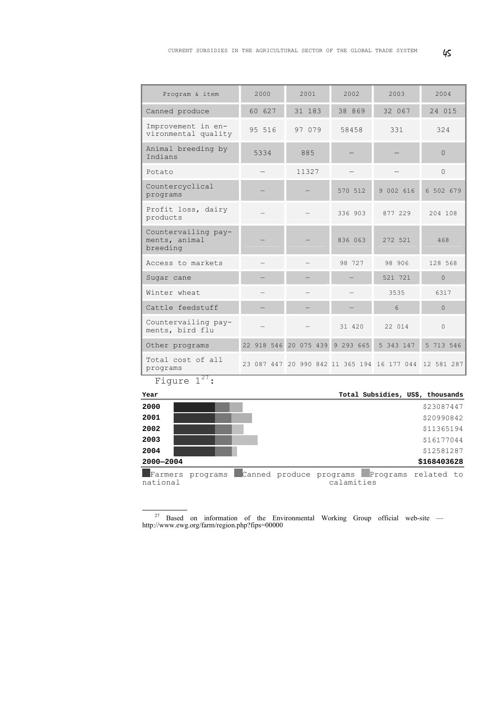| Program & item                                   | 2000       | 2001       | 2002      | 2003                                                   | 2004      |  |
|--------------------------------------------------|------------|------------|-----------|--------------------------------------------------------|-----------|--|
| Canned produce                                   | 60 627     | 31 183     | 38 869    | 32 067                                                 | 24 015    |  |
| Improvement in en-<br>vironmental quality        | 95 516     | 97 079     | 58458     | 331                                                    | 324       |  |
| Animal breeding by<br>Indians                    | 5334       | 885        |           |                                                        | $\Omega$  |  |
| Potato                                           |            | 11327      |           |                                                        | $\Omega$  |  |
| Countercyclical<br>programs                      |            |            | 570 512   | 9 002 616                                              | 6 502 679 |  |
| Profit loss, dairy<br>products                   |            |            | 336 903   | 877 229                                                | 204 108   |  |
| Countervailing pay-<br>ments, animal<br>breeding |            |            | 836 063   | 272 521                                                | 468       |  |
| Access to markets                                |            |            | 98 727    | 98 906                                                 | 128 568   |  |
| Sugar cane                                       |            |            |           | 521 721                                                | $\Omega$  |  |
| Winter wheat                                     |            |            |           | 3535                                                   | 6317      |  |
| Cattle feedstuff                                 |            |            | 6         |                                                        | $\Omega$  |  |
| Countervailing pay-<br>ments, bird flu           |            |            | 31 420    | 22 014                                                 | $\Omega$  |  |
| Other programs                                   | 22 918 546 | 20 075 439 | 9 293 665 | 5 343 147                                              | 5 713 546 |  |
| Total cost of all<br>programs<br>27              |            |            |           | 23 087 447 20 990 842 11 365 194 16 177 044 12 581 287 |           |  |



<span id="page-12-0"></span> $\frac{27}{27}$  Based on information of the Environmental Working Group official web-site http://www.ewg.org/farm/region.php?fips=00000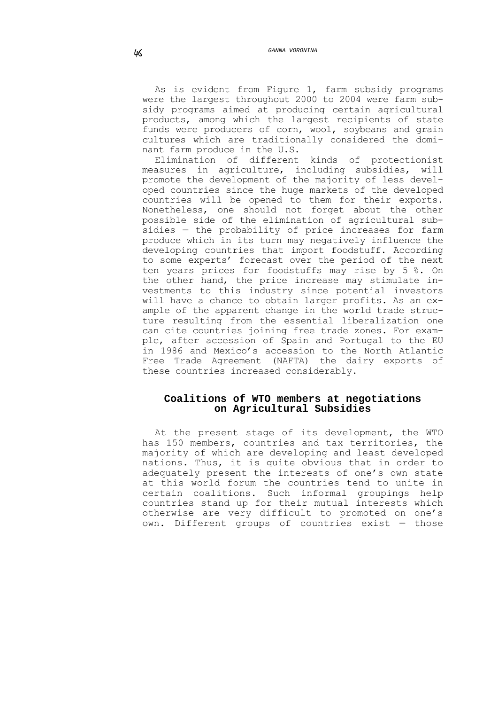As is evident from Figure 1, farm subsidy programs were the largest throughout 2000 to 2004 were farm subsidy programs aimed at producing certain agricultural products, among which the largest recipients of state funds were producers of corn, wool, soybeans and grain cultures which are traditionally considered the dominant farm produce in the U.S.<br>Elimination of different

kinds of protectionist<br>cluding subsidies, will measures in agriculture, including subsidies, promote the development of the majority of less developed countries since the huge markets of the developed countries will be opened to them for their exports. Nonetheless, one should not forget about the other possible side of the elimination of agricultural subsidies — the probability of price increases for farm produce which in its turn may negatively influence the developing countries that import foodstuff. According to some experts' forecast over the period of the next ten years prices for foodstuffs may rise by 5 %. On the other hand, the price increase may stimulate investments to this industry since potential investors will have a chance to obtain larger profits. As an example of the apparent change in the world trade structure resulting from the essential liberalization one can cite countries joining free trade zones. For example, after accession of Spain and Portugal to the EU in 1986 and Mexico's accession to the North Atlantic Free Trade Agreement (NAFTA) the dairy exports of these countries increased considerably.

# **Coalitions of WTO members at negotiations on Agricultural Subsidies**

At the present stage of its development, the WTO has 150 members, countries and tax territories, the majority of which are developing and least developed nations. Thus, it is quite obvious that in order to adequately present the interests of one's own state at this world forum the countries tend to unite in certain coalitions. Such informal groupings help countries stand up for their mutual interests which otherwise are very difficult to promoted on one's own. Different groups of countries exist — those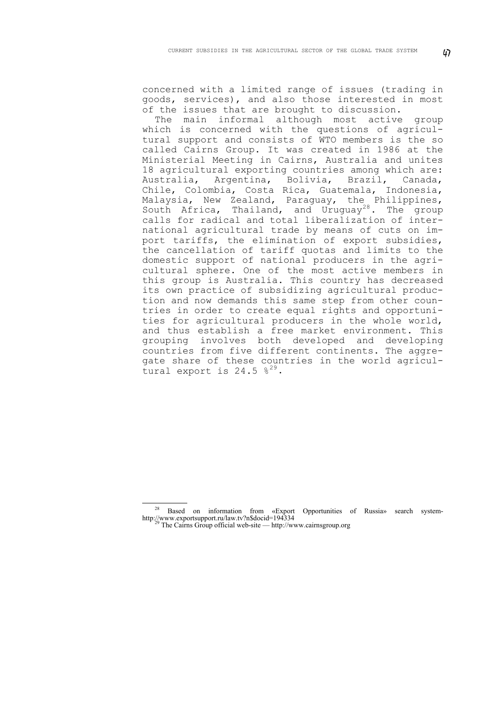concerned with a limited range of issues (trading in goods, services), and also those interested in most of the issues that are brought to discussion.

The main informal although most active group which is concerned with the questions of agricultural support and consists of WTO members is the so called Cairns Group. It was created in 1986 at the Ministerial Meeting in Cairns, Australia and unites 18 agricultural exporting countries among which are:<br>Australia, Argentina, Bolivia, Brazil, Canada, Australia, Argentina, Bolivia, Brazil, Canada, Chile, Colombia, Costa Rica, Guatemala, Indonesia, Malaysia, New Zealand, Paraguay, the Philippines, South Africa, Thailand, and Uruguay<sup>[28](#page-14-0)</sup>. The group calls for radical and total liberalization of international agricultural trade by means of cuts on import tariffs, the elimination of export subsidies, the cancellation of tariff quotas and limits to the domestic support of national producers in the agricultural sphere. One of the most active members in this group is Australia. This country has decreased its own practice of subsidizing agricultural production and now demands this same step from other countries in order to create equal rights and opportunities for agricultural producers in the whole world, and thus establish a free market environment. This grouping involves both developed and developing countries from five different continents. The aggregate share of these countries in the world agricultural export is  $24.5 \text{ }$   $\frac{29}{3}$  $\frac{29}{3}$  $\frac{29}{3}$ .

1

<span id="page-14-1"></span><span id="page-14-0"></span><sup>&</sup>lt;sup>28</sup> Based on information from «Export Opportunities of Russia» search system-<br>http://www.exportsupport.ru/law.tv?n\$docid=194334

The Cairns Group official web-site — http://www.cairnsgroup.org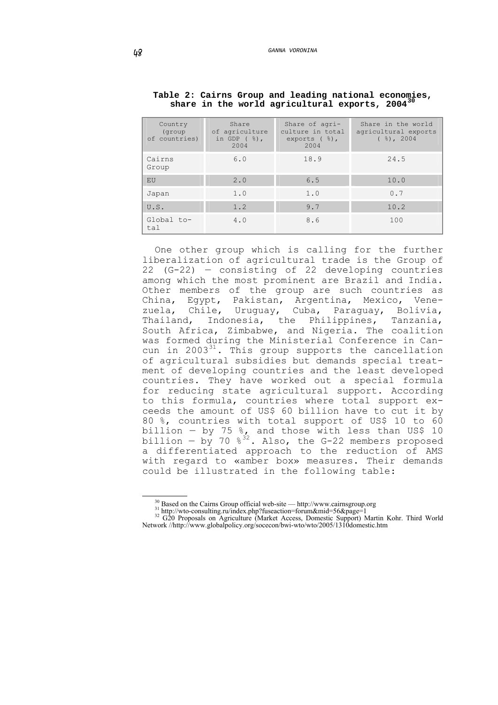| Country<br>(group<br>of countries) | Share<br>of agriculture<br>in GDP $(%)$ ,<br>2004 | Share of agri-<br>culture in total<br>exports $(\frac{6}{6})$ ,<br>2004 | Share in the world<br>agricultural exports<br>$($ $)$ , 2004 |
|------------------------------------|---------------------------------------------------|-------------------------------------------------------------------------|--------------------------------------------------------------|
| Cairns<br>Group                    | 6.0                                               | 18.9                                                                    | 24.5                                                         |
| EU                                 | 2.0                                               | 6.5                                                                     | 10.0                                                         |
| Japan                              | 1.0                                               | 1.0                                                                     | 0.7                                                          |
| U.S.                               | 1.2                                               | 9.7                                                                     | 10.2                                                         |
| Global to-<br>tal                  | 4.0                                               | 8.6                                                                     | 100                                                          |

#### **Table 2: Cairns Group and leading national economies,**  share in the world agricultural exports, 2004

One other group which is calling for the further liberalization of agricultural trade is the Group of 22 (G-22) — consisting of 22 developing countries among which the most prominent are Brazil and India. Other members of the group are such countries as China, Egypt, Pakistan, Argentina, Mexico, Venezuela, Chile, Uruguay, Cuba, Paraguay, Bolivia, Thailand, Indonesia, the Philippines, Tanzania, South Africa, Zimbabwe, and Nigeria. The coalition was formed during the Ministerial Conference in Cancun in  $2003^{31}$  $2003^{31}$  $2003^{31}$ . This group supports the cancellation of agricultural subsidies but demands special treatment of developing countries and the least developed countries. They have worked out a special formula for reducing state agricultural support. According to this formula, countries where total support exceeds the amount of US\$ 60 billion have to cut it by 80 %, countries with total support of US\$ 10 to 60 billion  $-$  by 75  $\frac{8}{16}$  and those with less than US\$ 10 billion – by 70  $\frac{1}{8}$ <sup>[32](#page-15-2)</sup>. Also, the G-22 members proposed a differentiated approach to the reduction of AMS with regard to «amber box» measures. Their demands could be illustrated in the following table:

<span id="page-15-2"></span><span id="page-15-1"></span><span id="page-15-0"></span><sup>&</sup>lt;sup>30</sup> Based on the Cairns Group official web-site — http://www.cairnsgroup.org<br>
<sup>31</sup> http://wto-consulting.ru/index.php?fuseaction=forum&mid=56&page=1<br>
<sup>32</sup> G20 Proposals on Agriculture (Market Access, Domestic Support) Ma Network //http://www.globalpolicy.org/socecon/bwi-wto/wto/2005/1310domestic.htm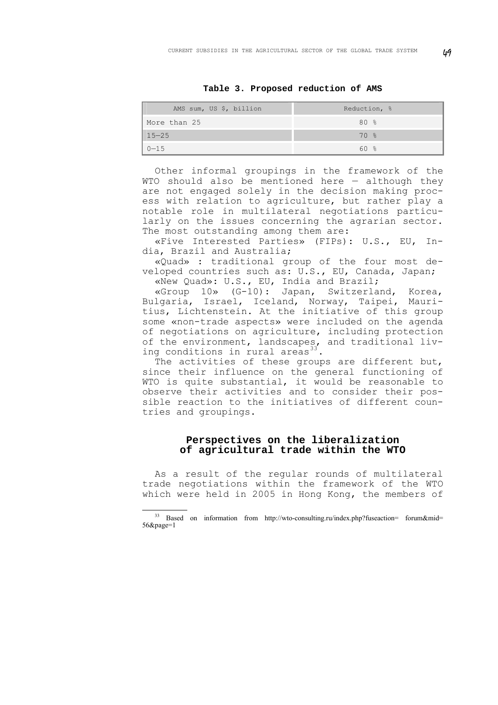**Table 3. Proposed reduction of AMS** 

| AMS sum, US \$, billion | Reduction, % |  |  |  |  |
|-------------------------|--------------|--|--|--|--|
| More than 25            | 80 %         |  |  |  |  |
| $15 - 25$               | 70%          |  |  |  |  |
| $0 - 15$                | 60 %         |  |  |  |  |

Other informal groupings in the framework of the WTO should also be mentioned here — although they are not engaged solely in the decision making process with relation to agriculture, but rather play a notable role in multilateral negotiations particularly on the issues concerning the agrarian sector. The most outstanding among them are:

«Five Interested Parties» (FIPs): U.S., EU, India, Brazil and Australia;

«Quad» : traditional group of the four most developed countries such as: U.S., EU, Canada, Japan; «New Quad»: U.S., EU, India and Brazil;

«Group 10» (G-10): Japan, Switzerland, Korea, Bulgaria, Israel, Iceland, Norway, Taipei, Mauritius, Lichtenstein. At the initiative of this group some «non-trade aspects» were included on the agenda of negotiations on agriculture, including protection of the environment, landscapes, and traditional liv-ing conditions in rural areas<sup>[33](#page-16-0)</sup>.

The activities of these groups are different but, since their influence on the general functioning of WTO is quite substantial, it would be reasonable to observe their activities and to consider their possible reaction to the initiatives of different countries and groupings.

## **Perspectives on the liberalization of agricultural trade within the WTO**

As a result of the regular rounds of multilateral trade negotiations within the framework of the WTO which were held in 2005 in Hong Kong, the members of

<span id="page-16-0"></span> <sup>33</sup> Based on information from http://wto-consulting.ru/index.php?fuseaction= forum&mid= 56&page=1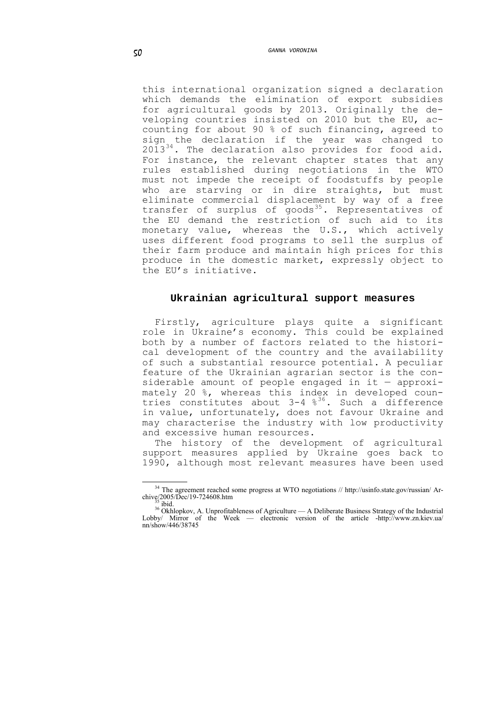this international organization signed a declaration which demands the elimination of export subsidies for agricultural goods by 2013. Originally the developing countries insisted on 2010 but the EU, accounting for about 90 % of such financing, agreed to sign the declaration if the year was changed to 2013<sup>[34](#page-17-0)</sup>. The declaration also provides for food aid. For instance, the relevant chapter states that any rules established during negotiations in the WTO must not impede the receipt of foodstuffs by people who are starving or in dire straights, but must eliminate commercial displacement by way of a free transfer of surplus of  $q$ oods<sup>[35](#page-17-1)</sup>. Representatives of the EU demand the restriction of such aid to its monetary value, whereas the U.S., which actively uses different food programs to sell the surplus of their farm produce and maintain high prices for this produce in the domestic market, expressly object to the EU's initiative.

#### **Ukrainian agricultural support measures**

Firstly, agriculture plays quite a significant role in Ukraine's economy. This could be explained both by a number of factors related to the historical development of the country and the availability of such a substantial resource potential. A peculiar feature of the Ukrainian agrarian sector is the considerable amount of people engaged in it  $-$  approximately 20 %, whereas this index in developed countries constitutes about  $3-4\,8^{36}$  $3-4\,8^{36}$  $3-4\,8^{36}$ . Such a difference in value, unfortunately, does not favour Ukraine and may characterise the industry with low productivity and excessive human resources.

The history of the development of agricultural support measures applied by Ukraine goes back to 1990, although most relevant measures have been used

1

 $34$  The agreement reached some progress at WTO negotiations // http://usinfo.state.gov/russian/ Ar-

<span id="page-17-2"></span><span id="page-17-1"></span><span id="page-17-0"></span><sup>&</sup>lt;sup>35</sup> ibid. 36 Okhlopkov, A. Unprofitableness of Agriculture — A Deliberate Business Strategy of the Industrial 36 Okhlopkov, A. Unprofitableness of Agriculture — A Deliberate Business Strategy of the Industrial Lobby/ Mirror of the Week — electronic version of the article -http://www.zn.kiev.ua/ nn/show/446/38745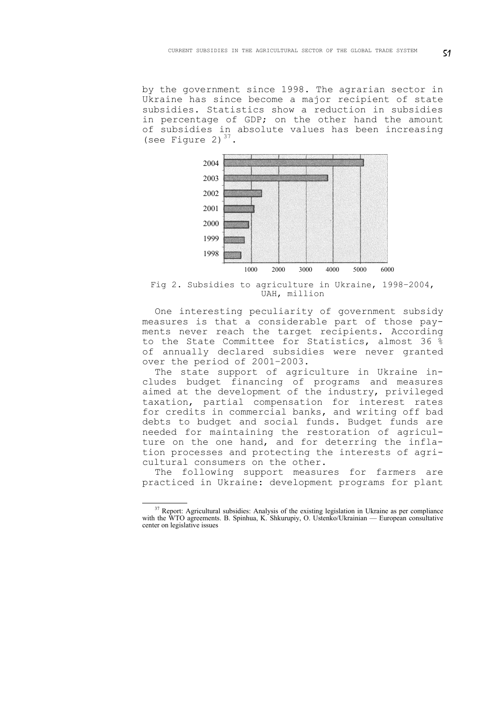by the government since 1998. The agrarian sector in Ukraine has since become a major recipient of state subsidies. Statistics show a reduction in subsidies in percentage of GDP; on the other hand the amount of subsidies in absolute values has been increasing (see Figure 2) $37$ .



Fig 2. Subsidies to agriculture in Ukraine, 1998–2004, UAH, million

One interesting peculiarity of government subsidy measures is that a considerable part of those payments never reach the target recipients. According to the State Committee for Statistics, almost 36 % of annually declared subsidies were never granted over the period of 2001–2003.

The state support of agriculture in Ukraine includes budget financing of programs and measures aimed at the development of the industry, privileged taxation, partial compensation for interest rates for credits in commercial banks, and writing off bad debts to budget and social funds. Budget funds are needed for maintaining the restoration of agriculture on the one hand, and for deterring the inflation processes and protecting the interests of agricultural consumers on the other.

The following support measures for farmers are practiced in Ukraine: development programs for plant

<span id="page-18-0"></span><sup>&</sup>lt;sup>37</sup> Report: Agricultural subsidies: Analysis of the existing legislation in Ukraine as per compliance with the WTO agreements. B. Spinhua, K. Shkurupiy, O. Ustenko/Ukrainian — European consultative center on legislative issues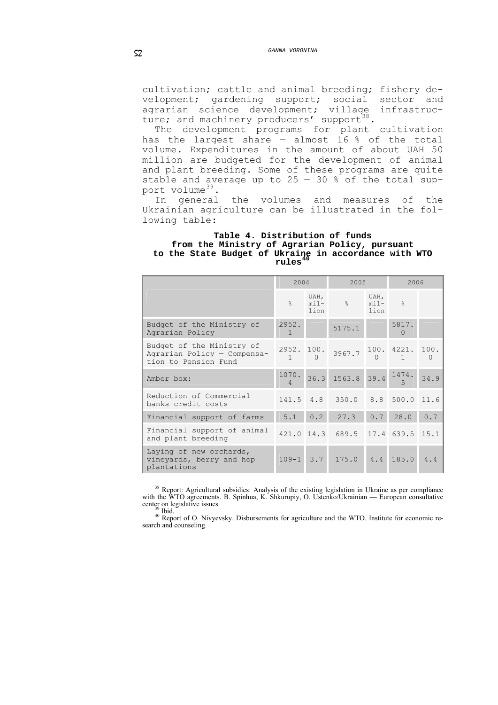cultivation; cattle and animal breeding; fishery development; gardening support; social sector and agrarian science development; village infrastruc-ture; and machinery producers' support<sup>[38](#page-19-0)</sup>.

The development programs for plant cultivation has the largest share - almost 16 % of the total volume. Expenditures in the amount of about UAH 50 million are budgeted for the development of animal and plant breeding. Some of these programs are quite stable and average up to  $25 - 30$  % of the total sup-port volume<sup>[39](#page-19-1)</sup>.<br>In general

the volumes and measures of the Ukrainian agriculture can be illustrated in the following table:

#### **Table 4. Distribution of funds from the Ministry of Agrarian Policy, pursuant to the State Budget of Ukraine in accordance with WTO rules[40](#page-19-2)**

|                                                                                  | 2004              |              | 2005                                                                                                   |                           | 2006              |      |
|----------------------------------------------------------------------------------|-------------------|--------------|--------------------------------------------------------------------------------------------------------|---------------------------|-------------------|------|
|                                                                                  | $\approx$         | UAH,<br>lion | $min -$ %                                                                                              | UAH,<br>$min -$ %<br>lion |                   |      |
| Budget of the Ministry of<br>Agrarian Policy                                     | 2952.<br>-1       |              | 5175.1                                                                                                 |                           | 5817.<br>$\Omega$ |      |
| Budget of the Ministry of<br>Agrarian Policy - Compensa-<br>tion to Pension Fund |                   |              | $\begin{array}{rrrrrr} 2952. & 100. & 3967.7 & 100. & 4221. & 100. \\ & 1 & 0 & 0 & 1 & 0 \end{array}$ |                           |                   |      |
| Amber box:                                                                       | 1070.<br>$\Delta$ |              | 36.3 1563.8 39.4                                                                                       |                           | 1474.<br>5        | 34.9 |
| Reduction of Commercial<br>banks credit costs                                    |                   |              | 141.5 4.8 350.0 8.8 500.0 11.6                                                                         |                           |                   |      |
| Financial support of farms                                                       | 5.1               | 0.2          | 27.3                                                                                                   | 0.7                       | 28.0              | 0.7  |
| Financial support of animal<br>and plant breeding                                |                   |              | 421.0 14.3 689.5 17.4 639.5 15.1                                                                       |                           |                   |      |
| Laying of new orchards,<br>vineyards, berry and hop<br>plantations               | $109 - 1$         | 3.7          | 175.0                                                                                                  | 4.4                       | 185.0             | 4.4  |

<sup>38</sup> Report: Agricultural subsidies: Analysis of the existing legislation in Ukraine as per compliance with the WTO agreements. B. Spinhua, K. Shkurupiy, O. Ustenko/Ukrainian — European consultative center on legislative issues

<span id="page-19-2"></span><span id="page-19-1"></span><span id="page-19-0"></span> $\frac{39}{40}$  Report of O. Nivyevsky. Disbursements for agriculture and the WTO. Institute for economic research and counseling.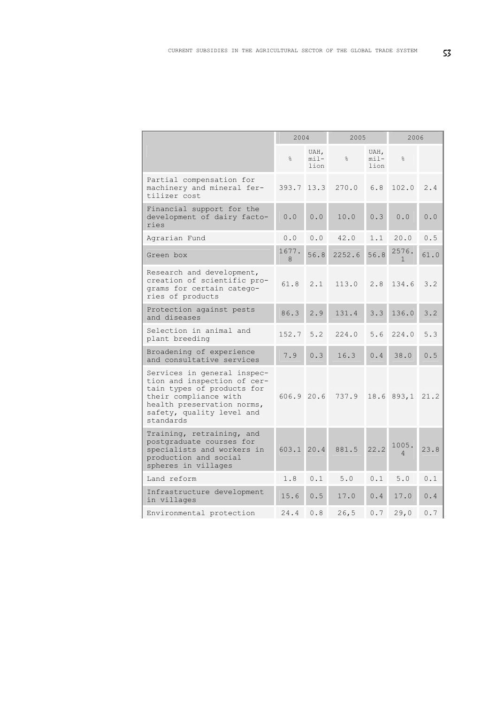|                                                                                                                                                                                           | 2004       |                          | 2005   |                          | 2006                  |       |
|-------------------------------------------------------------------------------------------------------------------------------------------------------------------------------------------|------------|--------------------------|--------|--------------------------|-----------------------|-------|
|                                                                                                                                                                                           | $\approx$  | UAH,<br>$min1 -$<br>lion | g<br>o | UAH,<br>$min1 -$<br>lion | $\frac{6}{10}$        |       |
| Partial compensation for<br>machinery and mineral fer-<br>tilizer cost                                                                                                                    | 393.7 13.3 |                          | 270.0  | 6.8                      | 102.0                 | 2.4   |
| Financial support for the<br>development of dairy facto-<br>ries                                                                                                                          | 0.0        | 0.0                      | 10.0   | 0.3                      | 0.0                   | 0.0   |
| Agrarian Fund                                                                                                                                                                             | 0.0        | 0.0                      | 42.0   | 1.1                      | 20.0                  | 0.5   |
| Green box                                                                                                                                                                                 | 1677.<br>8 | 56.8                     | 2252.6 | 56.8                     | 2576.<br>$\mathbf{1}$ | 61.0  |
| Research and development,<br>creation of scientific pro-<br>grams for certain catego-<br>ries of products                                                                                 | 61.8       | 2.1                      | 113.0  | 2.8                      | 134.6                 | 3.2   |
| Protection against pests<br>and diseases                                                                                                                                                  | 86.3       | 2.9                      | 131.4  | 3.3                      | 136.0                 | 3.2   |
| Selection in animal and<br>plant breeding                                                                                                                                                 | 152.7      | 5.2                      | 224.0  | 5.6                      | 224.0                 | 5.3   |
| Broadening of experience<br>and consultative services                                                                                                                                     | 7.9        | 0.3                      | 16.3   | 0.4                      | 38.0                  | $0.5$ |
| Services in general inspec-<br>tion and inspection of cer-<br>tain types of products for<br>their compliance with<br>health preservation norms,<br>safety, quality level and<br>standards | 606.9 20.6 |                          | 737.9  |                          | $18.6$ 893,1          | 21.2  |
| Training, retraining, and<br>postgraduate courses for<br>specialists and workers in<br>production and social<br>spheres in villages                                                       | 603.1 20.4 |                          | 881.5  | 22.2                     | 1005.<br>$\Delta$     | 23.8  |
| Land reform                                                                                                                                                                               | 1.8        | 0.1                      | 5.0    | 0.1                      | 5.0                   | 0.1   |
| Infrastructure development<br>in villages                                                                                                                                                 | 15.6       | 0.5                      | 17.0   | 0.4                      | 17.0                  | 0.4   |
| Environmental protection                                                                                                                                                                  | 24.4       | 0.8                      | 26, 5  | 0.7                      | 29,0                  | 0.7   |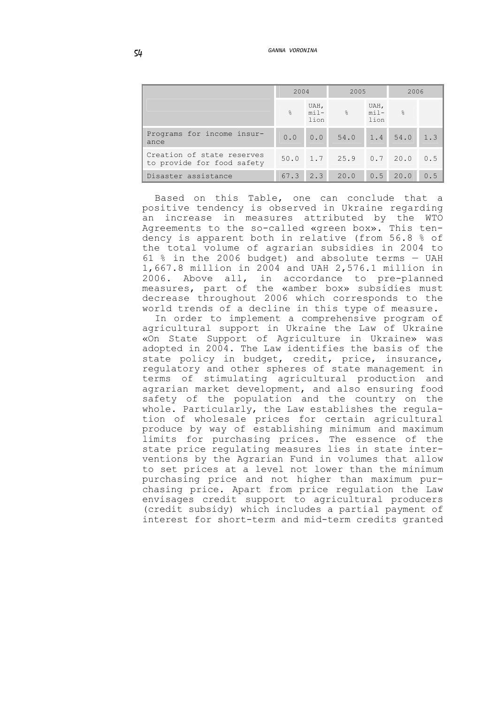|                                                          | 2004       |              | 2005                        |              | 2006 |     |
|----------------------------------------------------------|------------|--------------|-----------------------------|--------------|------|-----|
|                                                          | $\approx$  | UAH,<br>lion | $mil -$ % $mil -$ %         | UAH,<br>lion |      |     |
| Programs for income insur-<br>ance                       |            |              | $0.0$ 0.0 54.0 1.4 54.0 1.3 |              |      |     |
| Creation of state reserves<br>to provide for food safety |            |              | 50.0 1.7 25.9 0.7 20.0      |              |      | 0.5 |
| Disaster assistance                                      | $67.3$ 2.3 |              | 20.0                        | 0.5          | 20.0 | 0.5 |

Based on this Table, one can conclude that a positive tendency is observed in Ukraine regarding an increase in measures attributed by the WTO Agreements to the so-called «green box». This tendency is apparent both in relative (from 56.8 % of the total volume of agrarian subsidies in 2004 to 61 % in the 2006 budget) and absolute terms — UAH 1,667.8 million in 2004 and UAH 2,576.1 million in 2006. Above all, in accordance to pre-planned measures, part of the «amber box» subsidies must decrease throughout 2006 which corresponds to the world trends of a decline in this type of measure.

In order to implement a comprehensive program of agricultural support in Ukraine the Law of Ukraine «On State Support of Agriculture in Ukraine» was adopted in 2004. The Law identifies the basis of the state policy in budget, credit, price, insurance, regulatory and other spheres of state management in terms of stimulating agricultural production and agrarian market development, and also ensuring food safety of the population and the country on the whole. Particularly, the Law establishes the regulation of wholesale prices for certain agricultural produce by way of establishing minimum and maximum limits for purchasing prices. The essence of the state price regulating measures lies in state interventions by the Agrarian Fund in volumes that allow to set prices at a level not lower than the minimum purchasing price and not higher than maximum purchasing price. Apart from price regulation the Law envisages credit support to agricultural producers (credit subsidy) which includes a partial payment of interest for short-term and mid-term credits granted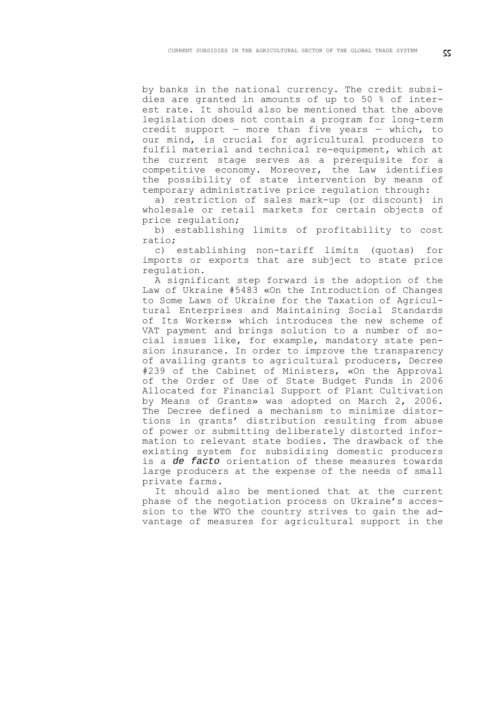by banks in the national currency. The credit subsidies are granted in amounts of up to 50 % of interest rate. It should also be mentioned that the above legislation does not contain a program for long-term credit support  $-$  more than five years  $-$  which, to our mind, is crucial for agricultural producers to fulfil material and technical re-equipment, which at the current stage serves as a prerequisite for a competitive economy. Moreover, the Law identifies the possibility of state intervention by means of temporary administrative price regulation through:

a) restriction of sales mark-up (or discount) in wholesale or retail markets for certain objects of price regulation;

b) establishing limits of profitability to cost ratio;

c) establishing non-tariff limits (quotas) for imports or exports that are subject to state price regulation.

A significant step forward is the adoption of the Law of Ukraine #5483 «On the Introduction of Changes to Some Laws of Ukraine for the Taxation of Agricultural Enterprises and Maintaining Social Standards of Its Workers» which introduces the new scheme of VAT payment and brings solution to a number of social issues like, for example, mandatory state pension insurance. In order to improve the transparency of availing grants to agricultural producers, Decree #239 of the Cabinet of Ministers, «On the Approval of the Order of Use of State Budget Funds in 2006 Allocated for Financial Support of Plant Cultivation by Means of Grants» was adopted on March 2, 2006. The Decree defined a mechanism to minimize distortions in grants' distribution resulting from abuse of power or submitting deliberately distorted information to relevant state bodies. The drawback of the existing system for subsidizing domestic producers is a *de facto* orientation of these measures towards large producers at the expense of the needs of small private farms.

It should also be mentioned that at the current phase of the negotiation process on Ukraine's accession to the WTO the country strives to gain the advantage of measures for agricultural support in the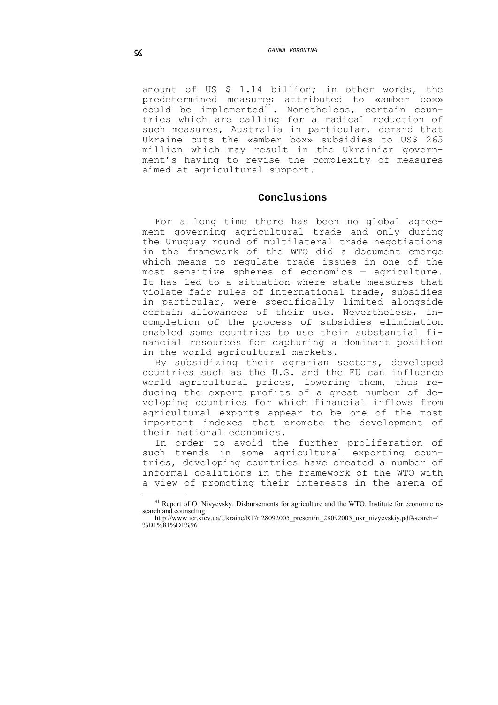amount of US \$ 1.14 billion; in other words, the predetermined measures attributed to «amber box»  $\frac{1}{2}$  could be implemented<sup>[41](#page-23-0)</sup>. Nonetheless, certain countries which are calling for a radical reduction of such measures, Australia in particular, demand that Ukraine cuts the «amber box» subsidies to US\$ 265 million which may result in the Ukrainian government's having to revise the complexity of measures aimed at agricultural support.

### **Conclusions**

For a long time there has been no global agreement governing agricultural trade and only during the Uruguay round of multilateral trade negotiations in the framework of the WTO did a document emerge which means to regulate trade issues in one of the most sensitive spheres of economics — agriculture. It has led to a situation where state measures that violate fair rules of international trade, subsidies in particular, were specifically limited alongside certain allowances of their use. Nevertheless, incompletion of the process of subsidies elimination enabled some countries to use their substantial financial resources for capturing a dominant position in the world agricultural markets.

By subsidizing their agrarian sectors, developed countries such as the U.S. and the EU can influence world agricultural prices, lowering them, thus reducing the export profits of a great number of developing countries for which financial inflows from agricultural exports appear to be one of the most important indexes that promote the development of their national economies.

In order to avoid the further proliferation of such trends in some agricultural exporting countries, developing countries have created a number of informal coalitions in the framework of the WTO with a view of promoting their interests in the arena of

<sup>&</sup>lt;sup>41</sup> Report of O. Nivyevsky. Disbursements for agriculture and the WTO. Institute for economic research and counseling

<span id="page-23-0"></span>http://www.ier.kiev.ua/Ukraine/RT/rt28092005\_present/rt\_28092005\_ukr\_nivyevskiy.pdf#search=' %D1%81%D1%96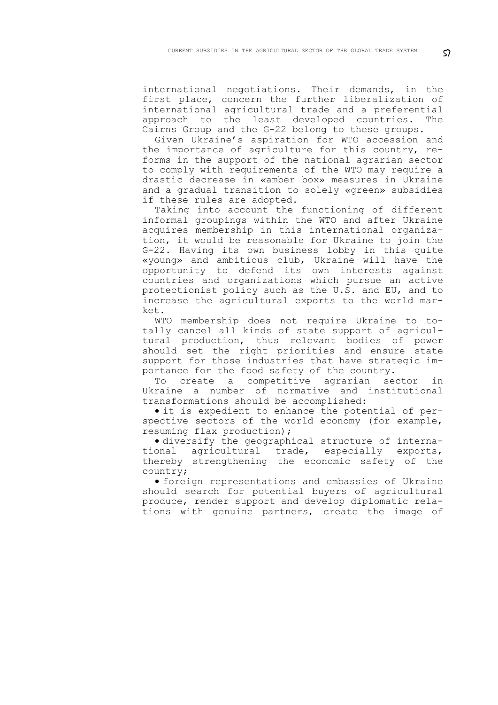international negotiations. Their demands, in the first place, concern the further liberalization of international agricultural trade and a preferential approach to the least developed countries. The Cairns Group and the G-22 belong to these groups.

Given Ukraine's aspiration for WTO accession and the importance of agriculture for this country, reforms in the support of the national agrarian sector to comply with requirements of the WTO may require a drastic decrease in «amber box» measures in Ukraine and a gradual transition to solely «green» subsidies if these rules are adopted.

Taking into account the functioning of different informal groupings within the WTO and after Ukraine acquires membership in this international organization, it would be reasonable for Ukraine to join the G-22. Having its own business lobby in this quite «young» and ambitious club, Ukraine will have the opportunity to defend its own interests against countries and organizations which pursue an active protectionist policy such as the U.S. and EU, and to increase the agricultural exports to the world market.

WTO membership does not require Ukraine to totally cancel all kinds of state support of agricultural production, thus relevant bodies of power should set the right priorities and ensure state support for those industries that have strategic importance for the food safety of the country.

To create a competitive agrarian sector in Ukraine a number of normative and institutional transformations should be accomplished:

• it is expedient to enhance the potential of perspective sectors of the world economy (for example, resuming flax production);

• diversify the geographical structure of international agricultural trade, especially exports, thereby strengthening the economic safety of the country;

• foreign representations and embassies of Ukraine should search for potential buyers of agricultural produce, render support and develop diplomatic relations with genuine partners, create the image of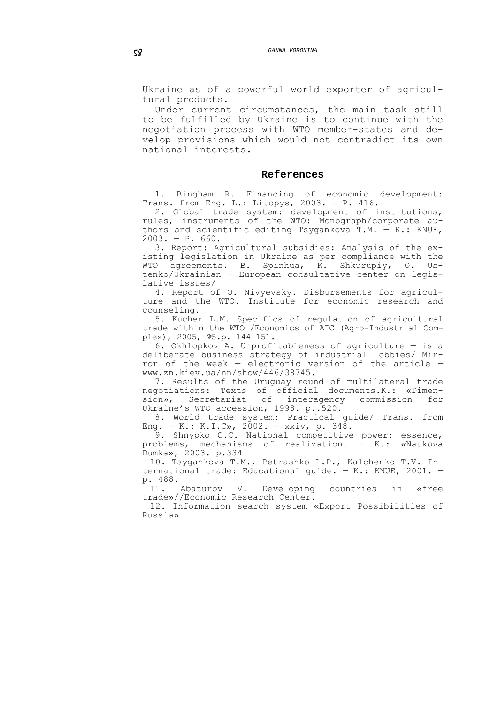Ukraine as of a powerful world exporter of agricultural products.

Under current circumstances, the main task still to be fulfilled by Ukraine is to continue with the negotiation process with WTO member-states and develop provisions which would not contradict its own national interests.

#### **References**

1. Bingham R. Financing of economic development: Trans. from Eng. L.: Litopys, 2003. — P. 416.

2. Global trade system: development of institutions, rules, instruments of the WTO: Monograph/corporate authors and scientific editing Tsygankova T.M.  $-$  K.: KNUE,  $2003. - P. 660.$ 

3. Report: Agricultural subsidies: Analysis of the existing legislation in Ukraine as per compliance with the WTO agreements. B. Spinhua, K. Shkurupiy, O. Ustenko/Ukrainian — European consultative center on legislative issues/

4. Report of O. Nivyevsky. Disbursements for agriculture and the WTO. Institute for economic research and counseling.

5. Kucher L.M. Specifics of regulation of agricultural trade within the WTO /Economics of AIC (Agro-Industrial Complex), 2005, №5.p. 144—151.

6. Okhlopkov A. Unprofitableness of agriculture — is a deliberate business strategy of industrial lobbies/ Mirror of the week — electronic version of the article www.zn.kiev.ua/nn/show/446/38745.

7. Results of the Uruguay round of multilateral trade negotiations: Texts of official documents.K.: «Dimension», Secretariat of interagency commission for Ukraine's WTO accession, 1998. p..520.

8. World trade system: Practical guide/ Trans. from Eng. — K.: K.I.C», 2002. — xxiv, p. 348.

9. Shnypko O.C. National competitive power: essence, problems, mechanisms of realization. — K.: «Naukova Dumka», 2003. p.334

10. Tsygankova T.M., Petrashko L.P., Kalchenko T.V. International trade: Educational guide. — K.: KNUE, 2001. p. 488.<br>11. Abaturov

11. Abaturov V. Developing countries in «free trade»//Economic Research Center.

12. Information search system «Export Possibilities of Russia»